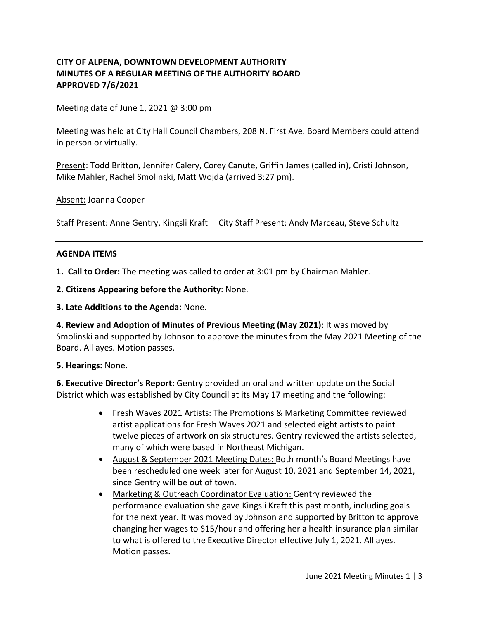## **CITY OF ALPENA, DOWNTOWN DEVELOPMENT AUTHORITY MINUTES OF A REGULAR MEETING OF THE AUTHORITY BOARD APPROVED 7/6/2021**

Meeting date of June 1, 2021 @ 3:00 pm

Meeting was held at City Hall Council Chambers, 208 N. First Ave. Board Members could attend in person or virtually.

Present: Todd Britton, Jennifer Calery, Corey Canute, Griffin James (called in), Cristi Johnson, Mike Mahler, Rachel Smolinski, Matt Wojda (arrived 3:27 pm).

Absent: Joanna Cooper

Staff Present: Anne Gentry, Kingsli Kraft City Staff Present: Andy Marceau, Steve Schultz

#### **AGENDA ITEMS**

**1. Call to Order:** The meeting was called to order at 3:01 pm by Chairman Mahler.

**2. Citizens Appearing before the Authority**: None.

**3. Late Additions to the Agenda:** None.

**4. Review and Adoption of Minutes of Previous Meeting (May 2021):** It was moved by Smolinski and supported by Johnson to approve the minutes from the May 2021 Meeting of the Board. All ayes. Motion passes.

**5. Hearings:** None.

**6. Executive Director's Report:** Gentry provided an oral and written update on the Social District which was established by City Council at its May 17 meeting and the following:

- Fresh Waves 2021 Artists: The Promotions & Marketing Committee reviewed artist applications for Fresh Waves 2021 and selected eight artists to paint twelve pieces of artwork on six structures. Gentry reviewed the artists selected, many of which were based in Northeast Michigan.
- August & September 2021 Meeting Dates: Both month's Board Meetings have been rescheduled one week later for August 10, 2021 and September 14, 2021, since Gentry will be out of town.
- Marketing & Outreach Coordinator Evaluation: Gentry reviewed the performance evaluation she gave Kingsli Kraft this past month, including goals for the next year. It was moved by Johnson and supported by Britton to approve changing her wages to \$15/hour and offering her a health insurance plan similar to what is offered to the Executive Director effective July 1, 2021. All ayes. Motion passes.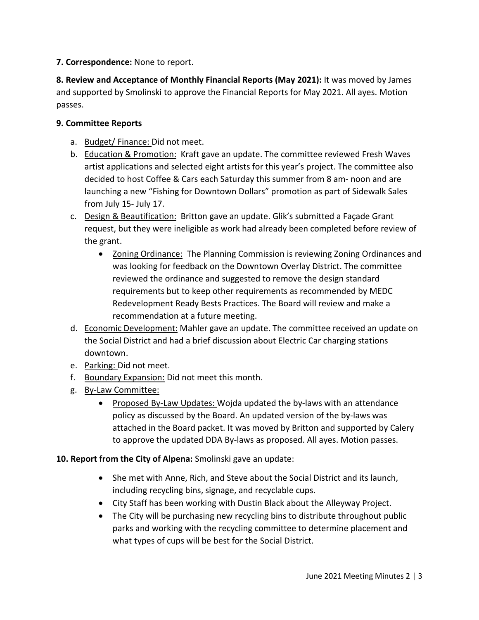**7. Correspondence:** None to report.

**8. Review and Acceptance of Monthly Financial Reports (May 2021):** It was moved by James and supported by Smolinski to approve the Financial Reports for May 2021. All ayes. Motion passes.

### **9. Committee Reports**

- a. Budget/ Finance: Did not meet.
- b. Education & Promotion: Kraft gave an update. The committee reviewed Fresh Waves artist applications and selected eight artists for this year's project. The committee also decided to host Coffee & Cars each Saturday this summer from 8 am- noon and are launching a new "Fishing for Downtown Dollars" promotion as part of Sidewalk Sales from July 15- July 17.
- c. Design & Beautification: Britton gave an update. Glik's submitted a Façade Grant request, but they were ineligible as work had already been completed before review of the grant.
	- Zoning Ordinance: The Planning Commission is reviewing Zoning Ordinances and was looking for feedback on the Downtown Overlay District. The committee reviewed the ordinance and suggested to remove the design standard requirements but to keep other requirements as recommended by MEDC Redevelopment Ready Bests Practices. The Board will review and make a recommendation at a future meeting.
- d. Economic Development: Mahler gave an update. The committee received an update on the Social District and had a brief discussion about Electric Car charging stations downtown.
- e. Parking: Did not meet.
- f. Boundary Expansion: Did not meet this month.
- g. By-Law Committee:
	- Proposed By-Law Updates: Wojda updated the by-laws with an attendance policy as discussed by the Board. An updated version of the by-laws was attached in the Board packet. It was moved by Britton and supported by Calery to approve the updated DDA By-laws as proposed. All ayes. Motion passes.

# **10. Report from the City of Alpena:** Smolinski gave an update:

- She met with Anne, Rich, and Steve about the Social District and its launch, including recycling bins, signage, and recyclable cups.
- City Staff has been working with Dustin Black about the Alleyway Project.
- The City will be purchasing new recycling bins to distribute throughout public parks and working with the recycling committee to determine placement and what types of cups will be best for the Social District.